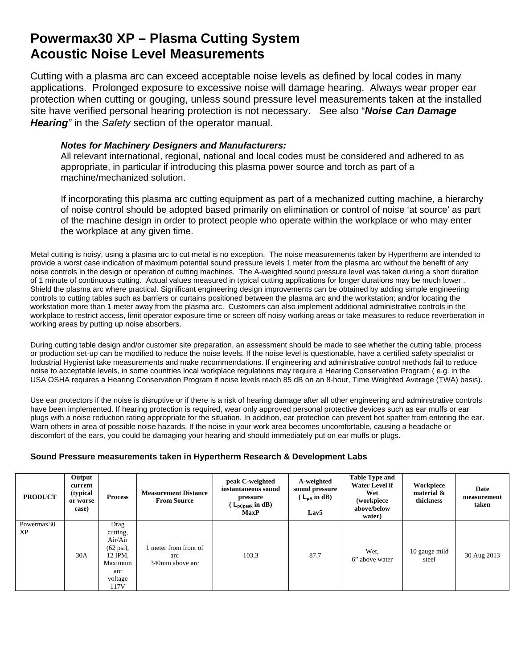## **Powermax30 XP – Plasma Cutting System Acoustic Noise Level Measurements**

Cutting with a plasma arc can exceed acceptable noise levels as defined by local codes in many applications. Prolonged exposure to excessive noise will damage hearing. Always wear proper ear protection when cutting or gouging, unless sound pressure level measurements taken at the installed site have verified personal hearing protection is not necessary. See also "*Noise Can Damage Hearing"* in the *Safety* section of the operator manual.

## *Notes for Machinery Designers and Manufacturers:*

All relevant international, regional, national and local codes must be considered and adhered to as appropriate, in particular if introducing this plasma power source and torch as part of a machine/mechanized solution.

If incorporating this plasma arc cutting equipment as part of a mechanized cutting machine, a hierarchy of noise control should be adopted based primarily on elimination or control of noise 'at source' as part of the machine design in order to protect people who operate within the workplace or who may enter the workplace at any given time.

Metal cutting is noisy, using a plasma arc to cut metal is no exception. The noise measurements taken by Hypertherm are intended to provide a worst case indication of maximum potential sound pressure levels 1 meter from the plasma arc without the benefit of any noise controls in the design or operation of cutting machines. The A-weighted sound pressure level was taken during a short duration of 1 minute of continuous cutting. Actual values measured in typical cutting applications for longer durations may be much lower . Shield the plasma arc where practical. Significant engineering design improvements can be obtained by adding simple engineering controls to cutting tables such as barriers or curtains positioned between the plasma arc and the workstation; and/or locating the workstation more than 1 meter away from the plasma arc. Customers can also implement additional administrative controls in the workplace to restrict access, limit operator exposure time or screen off noisy working areas or take measures to reduce reverberation in working areas by putting up noise absorbers.

During cutting table design and/or customer site preparation, an assessment should be made to see whether the cutting table, process or production set-up can be modified to reduce the noise levels. If the noise level is questionable, have a certified safety specialist or Industrial Hygienist take measurements and make recommendations. If engineering and administrative control methods fail to reduce noise to acceptable levels, in some countries local workplace regulations may require a Hearing Conservation Program ( e.g. in the USA OSHA requires a Hearing Conservation Program if noise levels reach 85 dB on an 8-hour, Time Weighted Average (TWA) basis).

Use ear protectors if the noise is disruptive or if there is a risk of hearing damage after all other engineering and administrative controls have been implemented. If hearing protection is required, wear only approved personal protective devices such as ear muffs or ear plugs with a noise reduction rating appropriate for the situation. In addition, ear protection can prevent hot spatter from entering the ear. Warn others in area of possible noise hazards. If the noise in your work area becomes uncomfortable, causing a headache or discomfort of the ears, you could be damaging your hearing and should immediately put on ear muffs or plugs.

## **Sound Pressure measurements taken in Hypertherm Research & Development Labs**

| <b>PRODUCT</b>   | Output<br>current<br>(typical<br>or worse<br>case) | <b>Process</b>                                                                                      | <b>Measurement Distance</b><br><b>From Source</b> | peak C-weighted<br>instantaneous sound<br>pressure<br>$\mathcal{L}_{\mathsf{pCpeak}}$ in dB)<br><b>MaxP</b> | A-weighted<br>sound pressure<br>$(L_{DA} \text{ in dB})$<br>Lav <sub>5</sub> | <b>Table Type and</b><br><b>Water Level if</b><br>Wet<br>(workpiece<br>above/below<br>water) | Workpiece<br>material &<br>thickness | Date<br>measurement<br>taken |
|------------------|----------------------------------------------------|-----------------------------------------------------------------------------------------------------|---------------------------------------------------|-------------------------------------------------------------------------------------------------------------|------------------------------------------------------------------------------|----------------------------------------------------------------------------------------------|--------------------------------------|------------------------------|
| Powermax30<br>XP | 30A                                                | Drag<br>cutting,<br>Air/Air<br>$(62 \text{ psi})$ ,<br>12 IPM.<br>Maximum<br>arc<br>voltage<br>117V | meter from front of<br>arc<br>340mm above arc     | 103.3                                                                                                       | 87.7                                                                         | Wet.<br>6" above water                                                                       | 10 gauge mild<br>steel               | 30 Aug 2013                  |